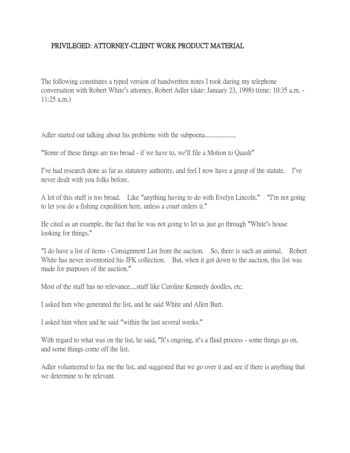## PRIVILEGED: ATTORNEY-CLIENT WORK PRODUCT MATERIAL

The following constitutes a typed version of handwritten notes I took during my telephone conversation with Robert White's attorney, Robert Adler (date: January 23, 1998) (time: 10:35 a.m. - 11:25 a.m.)

Adler started out talking about his problems with the subpoena...................

"Some of these things are too broad - if we have to, we'll file a Motion to Quash"

I've had research done as far as statutory authority, and feel I now have a grasp of the statute. I've never dealt with you folks before.

A lot of this stuff is too broad. Like "anything having to do with Evelyn Lincoln." "I'm not going to let you do a fishing expedition here, unless a court orders it."

He cited as an example, the fact that he was not going to let us just go through "White's house looking for things."

"I do have a list of items - Consignment List from the auction. So, there is such an animal. Robert White has never inventoried his JFK collection. But, when it got down to the auction, this list was made for purposes of the auction."

Most of the stuff has no relevance....stuff like Caroline Kennedy doodles, etc.

I asked him who generated the list, and he said White and Allen Burt.

I asked him when and he said "within the last several weeks."

With regard to what was on the list, he said, "It's ongoing, it's a fluid process - some things go on, and some things come off the list.

Adler volunteered to fax me the list, and suggested that we go over it and see if there is anything that we determine to be relevant.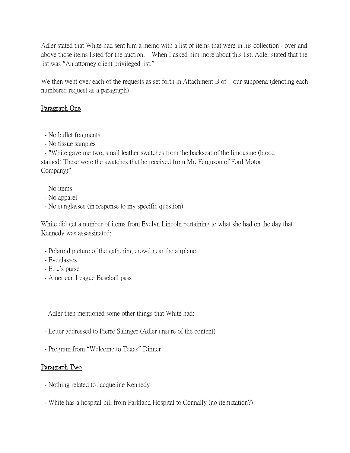Adler stated that White had sent him a memo with a list of items that were in his collection - over and above those items listed for the auction. When I asked him more about this list, Adler stated that the list was "An attorney client privileged list."

We then went over each of the requests as set forth in Attachment B of our subpoena (denoting each numbered request as a paragraph)

## Paragraph One

- No bullet fragments
- No tissue samples

- "White gave me two, small leather swatches from the backseat of the limousine (blood stained) These were the swatches that he received from Mr. Ferguson of Ford Motor Company)"

- No items
- No apparel
- No sunglasses (in response to my specific question)

White did get a number of items from Evelyn Lincoln pertaining to what she had on the day that Kennedy was assassinated:

- Polaroid picture of the gathering crowd near the airplane
- Eyeglasses
- E.L.'s purse
- American League Baseball pass

Adler then mentioned some other things that White had:

- Letter addressed to Pierre Salinger (Adler unsure of the content)
- Program from "Welcome to Texas" Dinner

### Paragraph Two

- Nothing related to Jacqueline Kennedy
- White has a hospital bill from Parkland Hospital to Connally (no itemization?)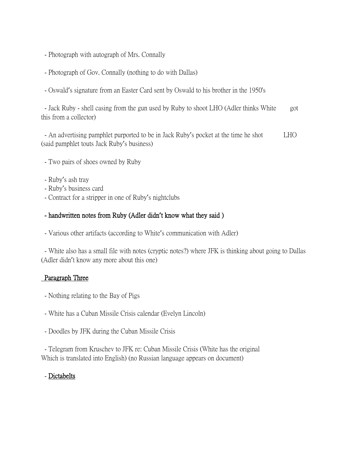- Photograph with autograph of Mrs. Connally
- Photograph of Gov. Connally (nothing to do with Dallas)
- Oswald's signature from an Easter Card sent by Oswald to his brother in the 1950's

- Jack Ruby - shell casing from the gun used by Ruby to shoot LHO (Adler thinks White got this from a collector)

- An advertising pamphlet purported to be in Jack Ruby's pocket at the time he shot LHO (said pamphlet touts Jack Ruby's business)

- Two pairs of shoes owned by Ruby
- Ruby's ash tray
- Ruby's business card
- Contract for a stripper in one of Ruby's nightclubs

#### - handwritten notes from Ruby (Adler didn**'**t know what they said )

- Various other artifacts (according to White's communication with Adler)

- White also has a small file with notes (cryptic notes?) where JFK is thinking about going to Dallas (Adler didn't know any more about this one)

#### Paragraph Three

- Nothing relating to the Bay of Pigs
- White has a Cuban Missile Crisis calendar (Evelyn Lincoln)
- Doodles by JFK during the Cuban Missile Crisis

- Telegram from Kruschev to JFK re: Cuban Missile Crisis (White has the original Which is translated into English) (no Russian language appears on document)

#### - Dictabelts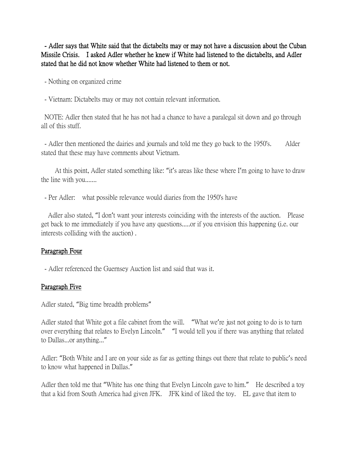- Adler says that White said that the dictabelts may or may not have a discussion about the Cuban Missile Crisis. I asked Adler whether he knew if White had listened to the dictabelts, and Adler stated that he did not know whether White had listened to them or not.

- Nothing on organized crime

- Vietnam: Dictabelts may or may not contain relevant information.

NOTE: Adler then stated that he has not had a chance to have a paralegal sit down and go through all of this stuff.

- Adler then mentioned the dairies and journals and told me they go back to the 1950's. Alder stated that these may have comments about Vietnam.

 At this point, Adler stated something like: "it's areas like these where I'm going to have to draw the line with you.......

- Per Adler: what possible relevance would diaries from the 1950's have

 Adler also stated, "I don't want your interests coinciding with the interests of the auction. Please get back to me immediately if you have any questions.....or if you envision this happening (i.e. our interests colliding with the auction) .

### Paragraph Four

- Adler referenced the Guernsey Auction list and said that was it.

### Paragraph Five

Adler stated, "Big time breadth problems"

Adler stated that White got a file cabinet from the will. "What we're just not going to do is to turn over everything that relates to Evelyn Lincoln." "I would tell you if there was anything that related to Dallas...or anything..."

Adler: "Both White and I are on your side as far as getting things out there that relate to public's need to know what happened in Dallas."

Adler then told me that "White has one thing that Evelyn Lincoln gave to him." He described a toy that a kid from South America had given JFK. JFK kind of liked the toy. EL gave that item to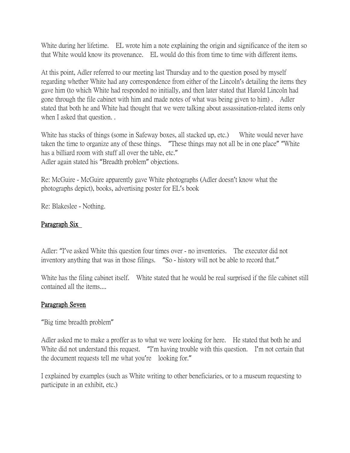White during her lifetime. EL wrote him a note explaining the origin and significance of the item so that White would know its provenance. EL would do this from time to time with different items.

At this point, Adler referred to our meeting last Thursday and to the question posed by myself regarding whether White had any correspondence from either of the Lincoln's detailing the items they gave him (to which White had responded no initially, and then later stated that Harold Lincoln had gone through the file cabinet with him and made notes of what was being given to him) . Adler stated that both he and White had thought that we were talking about assassination-related items only when I asked that question. .

White has stacks of things (some in Safeway boxes, all stacked up, etc.) White would never have taken the time to organize any of these things. "These things may not all be in one place" "White has a billiard room with stuff all over the table, etc." Adler again stated his "Breadth problem" objections.

Re: McGuire - McGuire apparently gave White photographs (Adler doesn't know what the photographs depict), books, advertising poster for EL's book

Re: Blakeslee - Nothing.

### Paragraph Six

Adler: "I've asked White this question four times over - no inventories. The executor did not inventory anything that was in those filings. "So - history will not be able to record that."

White has the filing cabinet itself. White stated that he would be real surprised if the file cabinet still contained all the items....

### Paragraph Seven

"Big time breadth problem"

Adler asked me to make a proffer as to what we were looking for here. He stated that both he and White did not understand this request. "I'm having trouble with this question. I'm not certain that the document requests tell me what you're looking for."

I explained by examples (such as White writing to other beneficiaries, or to a museum requesting to participate in an exhibit, etc.)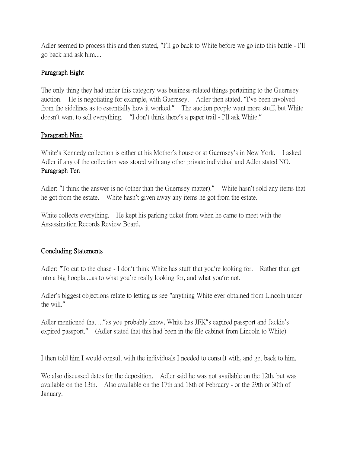Adler seemed to process this and then stated, "I'll go back to White before we go into this battle - I'll go back and ask him....

## Paragraph Eight

The only thing they had under this category was business-related things pertaining to the Guernsey auction. He is negotiating for example, with Guernsey. Adler then stated, "I've been involved from the sidelines as to essentially how it worked." The auction people want more stuff, but White doesn't want to sell everything. "I don't think there's a paper trail - I'll ask White."

# Paragraph Nine

White's Kennedy collection is either at his Mother's house or at Guernsey's in New York. I asked Adler if any of the collection was stored with any other private individual and Adler stated NO. Paragraph Ten

Adler: "I think the answer is no (other than the Guernsey matter)." White hasn't sold any items that he got from the estate. White hasn't given away any items he got from the estate.

White collects everything. He kept his parking ticket from when he came to meet with the Assassination Records Review Board.

## Concluding Statements

Adler: "To cut to the chase - I don't think White has stuff that you're looking for. Rather than get into a big hoopla....as to what you're really looking for, and what you're not.

Adler's biggest objections relate to letting us see "anything White ever obtained from Lincoln under the will."

Adler mentioned that ..." as you probably know, White has JFK" sexpired passport and Jackie's expired passport." (Adler stated that this had been in the file cabinet from Lincoln to White)

I then told him I would consult with the individuals I needed to consult with, and get back to him.

We also discussed dates for the deposition. Adler said he was not available on the 12th, but was available on the 13th. Also available on the 17th and 18th of February - or the 29th or 30th of January.